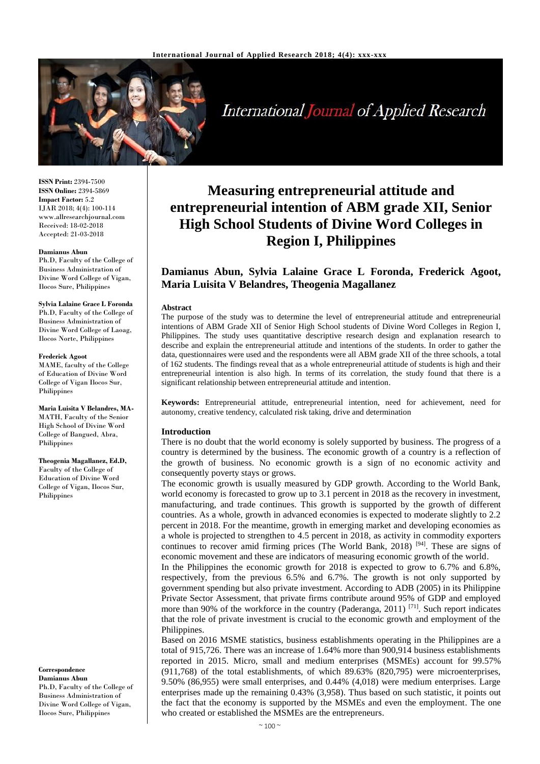

International Journal of Applied Research

**ISSN Print:** 2394-7500 **ISSN Online:** 2394-5869 **Impact Factor:** 5.2 IJAR 2018; 4(4): 100-114 www.allresearchjournal.com Received: 18-02-2018 Accepted: 21-03-2018

#### **Damianus Abun**

Ph.D, Faculty of the College of Business Administration of Divine Word College of Vigan, Ilocos Sure, Philippines

**Sylvia Lalaine Grace L Foronda** Ph.D, Faculty of the College of Business Administration of Divine Word College of Laoag,

Ilocos Norte, Philippines

#### **Frederick Agoot**

MAME, faculty of the College of Education of Divine Word College of Vigan Ilocos Sur, Philippines

**Maria Luisita V Belandres, MA-**MATH, Faculty of the Senior High School of Divine Word College of Bangued, Abra, Philippines

**Theogenia Magallanez, Ed.D,**  Faculty of the College of Education of Divine Word College of Vigan, Ilocos Sur, Philippines

**Correspondence**

**Damianus Abun** Ph.D, Faculty of the College of Business Administration of Divine Word College of Vigan, Ilocos Sure, Philippines

# **Measuring entrepreneurial attitude and entrepreneurial intention of ABM grade XII, Senior High School Students of Divine Word Colleges in Region I, Philippines**

# **Damianus Abun, Sylvia Lalaine Grace L Foronda, Frederick Agoot, Maria Luisita V Belandres, Theogenia Magallanez**

#### **Abstract**

The purpose of the study was to determine the level of entrepreneurial attitude and entrepreneurial intentions of ABM Grade XII of Senior High School students of Divine Word Colleges in Region I, Philippines. The study uses quantitative descriptive research design and explanation research to describe and explain the entrepreneurial attitude and intentions of the students. In order to gather the data, questionnaires were used and the respondents were all ABM grade XII of the three schools, a total of 162 students. The findings reveal that as a whole entrepreneurial attitude of students is high and their entrepreneurial intention is also high. In terms of its correlation, the study found that there is a significant relationship between entrepreneurial attitude and intention.

**Keywords:** Entrepreneurial attitude, entrepreneurial intention, need for achievement, need for autonomy, creative tendency, calculated risk taking, drive and determination

### **Introduction**

There is no doubt that the world economy is solely supported by business. The progress of a country is determined by the business. The economic growth of a country is a reflection of the growth of business. No economic growth is a sign of no economic activity and consequently poverty stays or grows.

The economic growth is usually measured by GDP growth. According to the World Bank, world economy is forecasted to grow up to 3.1 percent in 2018 as the recovery in investment, manufacturing, and trade continues. This growth is supported by the growth of different countries. As a whole, growth in advanced economies is expected to moderate slightly to 2.2 percent in 2018. For the meantime, growth in emerging market and developing economies as a whole is projected to strengthen to 4.5 percent in 2018, as activity in commodity exporters continues to recover amid firming prices (The World Bank, 2018)<sup>[94]</sup>. These are signs of economic movement and these are indicators of measuring economic growth of the world.

In the Philippines the economic growth for 2018 is expected to grow to 6.7% and 6.8%, respectively, from the previous 6.5% and 6.7%. The growth is not only supported by government spending but also private investment. According to ADB (2005) in its Philippine Private Sector Assessment, that private firms contribute around 95% of GDP and employed more than 90% of the workforce in the country (Paderanga, 2011) <sup>[71]</sup>. Such report indicates that the role of private investment is crucial to the economic growth and employment of the Philippines.

Based on 2016 MSME statistics, business establishments operating in the Philippines are a total of 915,726. There was an increase of 1.64% more than 900,914 business establishments reported in 2015. Micro, small and medium enterprises (MSMEs) account for 99.57% (911,768) of the total establishments, of which 89.63% (820,795) were microenterprises, 9.50% (86,955) were small enterprises, and 0.44% (4,018) were medium enterprises. Large enterprises made up the remaining 0.43% (3,958). Thus based on such statistic, it points out the fact that the economy is supported by the MSMEs and even the employment. The one who created or established the MSMEs are the entrepreneurs.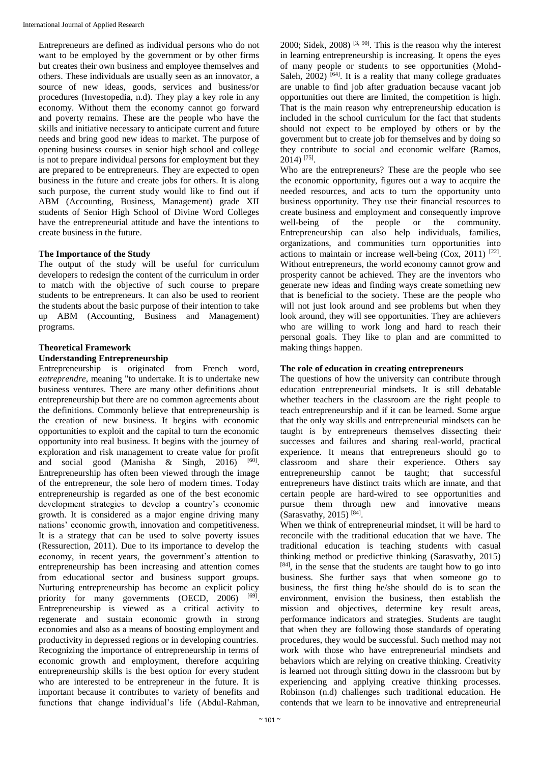Entrepreneurs are defined as individual persons who do not want to be employed by the government or by other firms but creates their own business and employee themselves and others. These individuals are usually seen as an innovator, a source of new ideas, goods, services and business/or procedures (Investopedia, n.d). They play a key role in any economy. Without them the economy cannot go forward and poverty remains. These are the people who have the skills and initiative necessary to anticipate current and future needs and bring good new ideas to market. The purpose of opening business courses in senior high school and college is not to prepare individual persons for employment but they are prepared to be entrepreneurs. They are expected to open business in the future and create jobs for others. It is along such purpose, the current study would like to find out if ABM (Accounting, Business, Management) grade XII students of Senior High School of Divine Word Colleges have the entrepreneurial attitude and have the intentions to create business in the future.

# **The Importance of the Study**

The output of the study will be useful for curriculum developers to redesign the content of the curriculum in order to match with the objective of such course to prepare students to be entrepreneurs. It can also be used to reorient the students about the basic purpose of their intention to take up ABM (Accounting, Business and Management) programs.

# **Theoretical Framework**

# **Understanding Entrepreneurship**

Entrepreneurship is originated from French word, *entreprendre*, meaning "to undertake. It is to undertake new business ventures. There are many other definitions about entrepreneurship but there are no common agreements about the definitions. Commonly believe that entrepreneurship is the creation of new business. It begins with economic opportunities to exploit and the capital to turn the economic opportunity into real business. It begins with the journey of exploration and risk management to create value for profit and social good (Manisha  $\&$  Singh, 2016)  $[60]$ . Entrepreneurship has often been viewed through the image of the entrepreneur, the sole hero of modern times. Today entrepreneurship is regarded as one of the best economic development strategies to develop a country's economic growth. It is considered as a major engine driving many nations' economic growth, innovation and competitiveness. It is a strategy that can be used to solve poverty issues (Ressurection, 2011). Due to its importance to develop the economy, in recent years, the government's attention to entrepreneurship has been increasing and attention comes from educational sector and business support groups. Nurturing entrepreneurship has become an explicit policy priority for many governments (OECD, 2006) [69]. Entrepreneurship is viewed as a critical activity to regenerate and sustain economic growth in strong economies and also as a means of boosting employment and productivity in depressed regions or in developing countries. Recognizing the importance of entrepreneurship in terms of economic growth and employment, therefore acquiring entrepreneurship skills is the best option for every student who are interested to be entrepreneur in the future. It is important because it contributes to variety of benefits and functions that change individual's life (Abdul-Rahman,

2000; Sidek, 2008)<sup>[3, 90]</sup>. This is the reason why the interest in learning entrepreneurship is increasing. It opens the eyes of many people or students to see opportunities (Mohd-Saleh,  $2002$ )  $[64]$ . It is a reality that many college graduates are unable to find job after graduation because vacant job opportunities out there are limited, the competition is high. That is the main reason why entrepreneurship education is included in the school curriculum for the fact that students should not expect to be employed by others or by the government but to create job for themselves and by doing so they contribute to social and economic welfare (Ramos, 2014) [75] .

Who are the entrepreneurs? These are the people who see the economic opportunity, figures out a way to acquire the needed resources, and acts to turn the opportunity unto business opportunity. They use their financial resources to create business and employment and consequently improve well-being of the people or the community. Entrepreneurship can also help individuals, families, organizations, and communities turn opportunities into actions to maintain or increase well-being  $(Cox, 2011)$ <sup>[22]</sup>. Without entrepreneurs, the world economy cannot grow and prosperity cannot be achieved. They are the inventors who generate new ideas and finding ways create something new that is beneficial to the society. These are the people who will not just look around and see problems but when they look around, they will see opportunities. They are achievers who are willing to work long and hard to reach their personal goals. They like to plan and are committed to making things happen.

# **The role of education in creating entrepreneurs**

The questions of how the university can contribute through education entrepreneurial mindsets. It is still debatable whether teachers in the classroom are the right people to teach entrepreneurship and if it can be learned. Some argue that the only way skills and entrepreneurial mindsets can be taught is by entrepreneurs themselves dissecting their successes and failures and sharing real-world, practical experience. It means that entrepreneurs should go to classroom and share their experience. Others say entrepreneurship cannot be taught; that successful entrepreneurs have distinct traits which are innate, and that certain people are hard-wired to see opportunities and pursue them through new and innovative means (Sarasvathy, 2015)<sup>[84]</sup>.

When we think of entrepreneurial mindset, it will be hard to reconcile with the traditional education that we have. The traditional education is teaching students with casual thinking method or predictive thinking (Sarasvathy, 2015) [84], in the sense that the students are taught how to go into business. She further says that when someone go to business, the first thing he/she should do is to scan the environment, envision the business, then establish the mission and objectives, determine key result areas, performance indicators and strategies. Students are taught that when they are following those standards of operating procedures, they would be successful. Such method may not work with those who have entrepreneurial mindsets and behaviors which are relying on creative thinking. Creativity is learned not through sitting down in the classroom but by experiencing and applying creative thinking processes. Robinson (n.d) challenges such traditional education. He contends that we learn to be innovative and entrepreneurial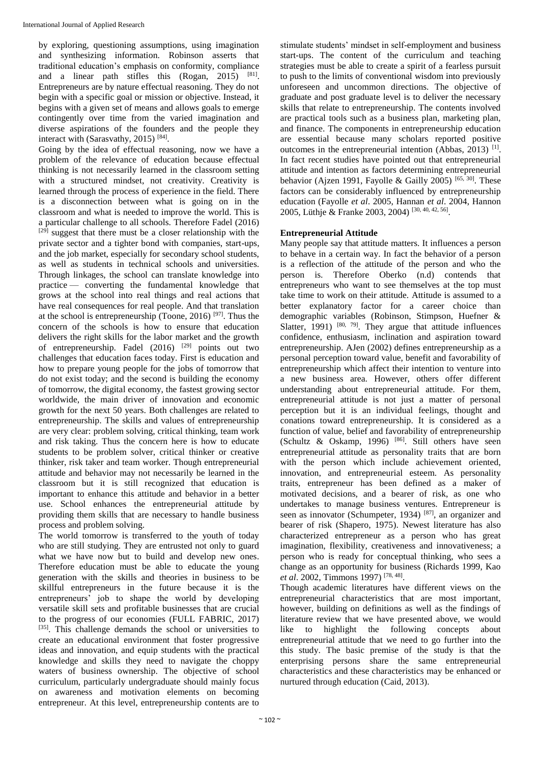by exploring, questioning assumptions, using imagination and synthesizing information. Robinson asserts that traditional education's emphasis on conformity, compliance and a linear path stifles this (Rogan, 2015) [81]. Entrepreneurs are by nature effectual reasoning. They do not begin with a specific goal or mission or objective. Instead, it begins with a given set of means and allows goals to emerge contingently over time from the varied imagination and diverse aspirations of the founders and the people they interact with (Sarasvathy, 2015)<sup>[84]</sup>.

Going by the idea of effectual reasoning, now we have a problem of the relevance of education because effectual thinking is not necessarily learned in the classroom setting with a structured mindset, not creativity. Creativity is learned through the process of experience in the field. There is a disconnection between what is going on in the classroom and what is needed to improve the world. This is a particular challenge to all schools. Therefore Fadel (2016) [29] suggest that there must be a closer relationship with the private sector and a tighter bond with companies, start-ups, and the job market, especially for secondary school students, as well as students in technical schools and universities. Through linkages, the school can translate knowledge into practice — converting the fundamental knowledge that grows at the school into real things and real actions that have real consequences for real people. And that translation at the school is entrepreneurship (Toone, 2016)<sup>[97]</sup>. Thus the concern of the schools is how to ensure that education delivers the right skills for the labor market and the growth of entrepreneurship. Fadel  $(2016)$  <sup>[29]</sup> points out two challenges that education faces today. First is education and how to prepare young people for the jobs of tomorrow that do not exist today; and the second is building the economy of tomorrow, the digital economy, the fastest growing sector worldwide, the main driver of innovation and economic growth for the next 50 years. Both challenges are related to entrepreneurship. The skills and values of entrepreneurship are very clear: problem solving, critical thinking, team work and risk taking. Thus the concern here is how to educate students to be problem solver, critical thinker or creative thinker, risk taker and team worker. Though entrepreneurial attitude and behavior may not necessarily be learned in the classroom but it is still recognized that education is important to enhance this attitude and behavior in a better use. School enhances the entrepreneurial attitude by providing them skills that are necessary to handle business process and problem solving.

The world tomorrow is transferred to the youth of today who are still studying. They are entrusted not only to guard what we have now but to build and develop new ones. Therefore education must be able to educate the young generation with the skills and theories in business to be skillful entrepreneurs in the future because it is the entrepreneurs' job to shape the world by developing versatile skill sets and profitable businesses that are crucial to the progress of our economies (FULL FABRIC, 2017) [35]. This challenge demands the school or universities to create an educational environment that foster progressive ideas and innovation, and equip students with the practical knowledge and skills they need to navigate the choppy waters of business ownership. The objective of school curriculum, particularly undergraduate should mainly focus on awareness and motivation elements on becoming entrepreneur. At this level, entrepreneurship contents are to

stimulate students' mindset in self-employment and business start-ups. The content of the curriculum and teaching strategies must be able to create a spirit of a fearless pursuit to push to the limits of conventional wisdom into previously unforeseen and uncommon directions. The objective of graduate and post graduate level is to deliver the necessary skills that relate to entrepreneurship. The contents involved are practical tools such as a business plan, marketing plan, and finance. The components in entrepreneurship education are essential because many scholars reported positive outcomes in the entrepreneurial intention (Abbas, 2013)<sup>[1]</sup>. In fact recent studies have pointed out that entrepreneurial attitude and intention as factors determining entrepreneurial behavior (Ajzen 1991, Fayolle & Gailly 2005)<sup>[65, 30]</sup>. These factors can be considerably influenced by entrepreneurship education (Fayolle *et al*. 2005, Hannan *et al*. 2004, Hannon 2005, Lüthje & Franke 2003, 2004) [30, 40, 42, 56] .

# **Entrepreneurial Attitude**

Many people say that attitude matters. It influences a person to behave in a certain way. In fact the behavior of a person is a reflection of the attitude of the person and who the person is. Therefore Oberko (n.d) contends that entrepreneurs who want to see themselves at the top must take time to work on their attitude. Attitude is assumed to a better explanatory factor for a career choice than demographic variables (Robinson, Stimpson, Huefner & Slatter,  $1991$ )  $[80, 79]$ . They argue that attitude influences confidence, enthusiasm, inclination and aspiration toward entrepreneurship. AJen (2002) defines entrepreneurship as a personal perception toward value, benefit and favorability of entrepreneurship which affect their intention to venture into a new business area. However, others offer different understanding about entrepreneurial attitude. For them, entrepreneurial attitude is not just a matter of personal perception but it is an individual feelings, thought and conations toward entrepreneurship. It is considered as a function of value, belief and favorability of entrepreneurship (Schultz & Oskamp, 1996) [86] . Still others have seen entrepreneurial attitude as personality traits that are born with the person which include achievement oriented, innovation, and entrepreneurial esteem. As personality traits, entrepreneur has been defined as a maker of motivated decisions, and a bearer of risk, as one who undertakes to manage business ventures. Entrepreneur is seen as innovator (Schumpeter, 1934) [87], an organizer and bearer of risk (Shapero, 1975). Newest literature has also characterized entrepreneur as a person who has great imagination, flexibility, creativeness and innovativeness; a person who is ready for conceptual thinking, who sees a change as an opportunity for business (Richards 1999, Kao *et al*. 2002, Timmons 1997) [78, 48] .

Though academic literatures have different views on the entrepreneurial characteristics that are most important, however, building on definitions as well as the findings of literature review that we have presented above, we would like to highlight the following concepts about entrepreneurial attitude that we need to go further into the this study. The basic premise of the study is that the enterprising persons share the same entrepreneurial characteristics and these characteristics may be enhanced or nurtured through education (Caid, 2013).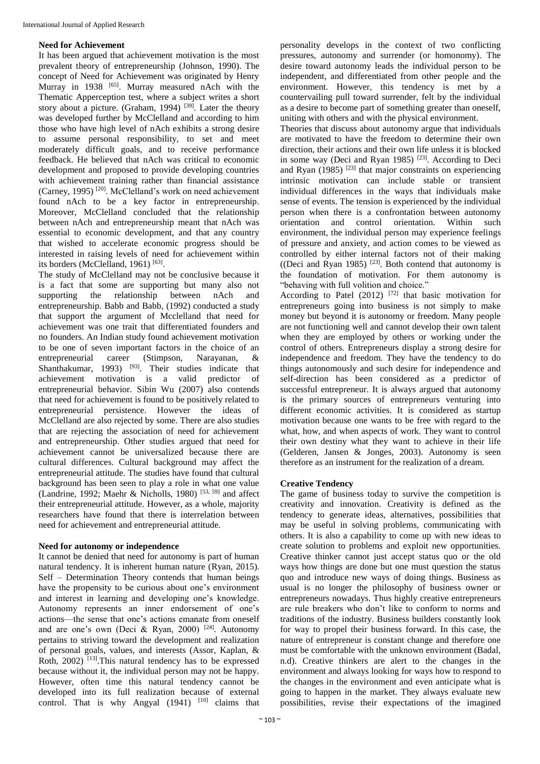# **Need for Achievement**

It has been argued that achievement motivation is the most prevalent theory of entrepreneurship (Johnson, 1990). The concept of Need for Achievement was originated by Henry Murray in 1938 <sup>[65]</sup>. Murray measured nAch with the Thematic Apperception test, where a subject writes a short story about a picture. (Graham, 1994)  $[39]$ . Later the theory was developed further by McClelland and according to him those who have high level of nAch exhibits a strong desire to assume personal responsibility, to set and meet moderately difficult goals, and to receive performance feedback. He believed that nAch was critical to economic development and proposed to provide developing countries with achievement training rather than financial assistance (Carney, 1995)<sup>[20]</sup>. McClelland's work on need achievement found nAch to be a key factor in entrepreneurship. Moreover, McClelland concluded that the relationship between nAch and entrepreneurship meant that nAch was essential to economic development, and that any country that wished to accelerate economic progress should be interested in raising levels of need for achievement within its borders (McClelland, 1961)<sup>[63]</sup>.

The study of McClelland may not be conclusive because it is a fact that some are supporting but many also not supporting the relationship between nAch and entrepreneurship. Babb and Babb, (1992) conducted a study that support the argument of Mcclelland that need for achievement was one trait that differentiated founders and no founders. An Indian study found achievement motivation to be one of seven important factors in the choice of an entrepreneurial career (Stimpson, Narayanan, & Shanthakumar, 1993)  $[93]$ . Their studies indicate that achievement motivation is a valid predictor of entrepreneurial behavior. Sibin Wu (2007) also contends that need for achievement is found to be positively related to entrepreneurial persistence. However the ideas of McClelland are also rejected by some. There are also studies that are rejecting the association of need for achievement and entrepreneurship. Other studies argued that need for achievement cannot be universalized because there are cultural differences. Cultural background may affect the entrepreneurial attitude. The studies have found that cultural background has been seen to play a role in what one value (Landrine, 1992; Maehr & Nicholls, 1980)<sup>[53, 59]</sup> and affect their entrepreneurial attitude. However, as a whole, majority researchers have found that there is interrelation between need for achievement and entrepreneurial attitude.

# **Need for autonomy or independence**

It cannot be denied that need for autonomy is part of human natural tendency. It is inherent human nature (Ryan, 2015). Self – Determination Theory contends that human beings have the propensity to be curious about one's environment and interest in learning and developing one's knowledge. Autonomy represents an inner endorsement of one's actions—the sense that one's actions emanate from oneself and are one's own (Deci & Ryan, 2000)  $[24]$ . Autonomy pertains to striving toward the development and realization of personal goals, values, and interests (Assor, Kaplan, & Roth, 2002) [13].This natural tendency has to be expressed because without it, the individual person may not be happy. However, often time this natural tendency cannot be developed into its full realization because of external control. That is why Angyal  $(1941)$   $[10]$  claims that

personality develops in the context of two conflicting pressures, autonomy and surrender (or homonomy). The desire toward autonomy leads the individual person to be independent, and differentiated from other people and the environment. However, this tendency is met by a countervailing pull toward surrender, felt by the individual as a desire to become part of something greater than oneself, uniting with others and with the physical environment.

Theories that discuss about autonomy argue that individuals are motivated to have the freedom to determine their own direction, their actions and their own life unless it is blocked in some way (Deci and Ryan 1985)  $[23]$ . According to Deci and Ryan  $(1985)$ <sup>[23]</sup> that major constraints on experiencing intrinsic motivation can include stable or transient individual differences in the ways that individuals make sense of events. The tension is experienced by the individual person when there is a confrontation between autonomy orientation and control orientation. Within such environment, the individual person may experience feelings of pressure and anxiety, and action comes to be viewed as controlled by either internal factors not of their making ((Deci and Ryan 1985)  $[23]$ . Both contend that autonomy is the foundation of motivation. For them autonomy is "behaving with full volition and choice."

According to Patel  $(2012)$   $[72]$  that basic motivation for entrepreneurs going into business is not simply to make money but beyond it is autonomy or freedom. Many people are not functioning well and cannot develop their own talent when they are employed by others or working under the control of others. Entrepreneurs display a strong desire for independence and freedom. They have the tendency to do things autonomously and such desire for independence and self-direction has been considered as a predictor of successful entrepreneur. It is always argued that autonomy is the primary sources of entrepreneurs venturing into different economic activities. It is considered as startup motivation because one wants to be free with regard to the what, how, and when aspects of work. They want to control their own destiny what they want to achieve in their life (Gelderen, Jansen & Jonges, 2003). Autonomy is seen therefore as an instrument for the realization of a dream.

# **Creative Tendency**

The game of business today to survive the competition is creativity and innovation. Creativity is defined as the tendency to generate ideas, alternatives, possibilities that may be useful in solving problems, communicating with others. It is also a capability to come up with new ideas to create solution to problems and exploit new opportunities. Creative thinker cannot just accept status quo or the old ways how things are done but one must question the status quo and introduce new ways of doing things. Business as usual is no longer the philosophy of business owner or entrepreneurs nowadays. Thus highly creative entrepreneurs are rule breakers who don't like to conform to norms and traditions of the industry. Business builders constantly look for way to propel their business forward. In this case, the nature of entrepreneur is constant change and therefore one must be comfortable with the unknown environment (Badal, n.d). Creative thinkers are alert to the changes in the environment and always looking for ways how to respond to the changes in the environment and even anticipate what is going to happen in the market. They always evaluate new possibilities, revise their expectations of the imagined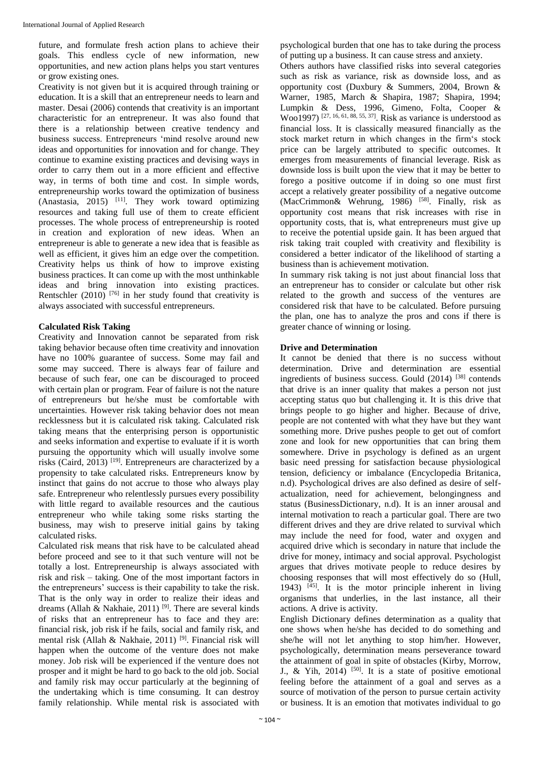future, and formulate fresh action plans to achieve their goals. This endless cycle of new information, new opportunities, and new action plans helps you start ventures or grow existing ones.

Creativity is not given but it is acquired through training or education. It is a skill that an entrepreneur needs to learn and master. Desai (2006) contends that creativity is an important characteristic for an entrepreneur. It was also found that there is a relationship between creative tendency and business success. Entrepreneurs 'mind resolve around new ideas and opportunities for innovation and for change. They continue to examine existing practices and devising ways in order to carry them out in a more efficient and effective way, in terms of both time and cost. In simple words, entrepreneurship works toward the optimization of business  $(Anastasia, 2015)$ <sup>[11]</sup>. They work toward optimizing resources and taking full use of them to create efficient processes. The whole process of entrepreneurship is rooted in creation and exploration of new ideas. When an entrepreneur is able to generate a new idea that is feasible as well as efficient, it gives him an edge over the competition. Creativity helps us think of how to improve existing business practices. It can come up with the most unthinkable ideas and bring innovation into existing practices. Rentschler  $(2010)$ <sup>[76]</sup> in her study found that creativity is always associated with successful entrepreneurs.

# **Calculated Risk Taking**

Creativity and Innovation cannot be separated from risk taking behavior because often time creativity and innovation have no 100% guarantee of success. Some may fail and some may succeed. There is always fear of failure and because of such fear, one can be discouraged to proceed with certain plan or program. Fear of failure is not the nature of entrepreneurs but he/she must be comfortable with uncertainties. However risk taking behavior does not mean recklessness but it is calculated risk taking. Calculated risk taking means that the enterprising person is opportunistic and seeks information and expertise to evaluate if it is worth pursuing the opportunity which will usually involve some risks (Caird, 2013) [19]. Entrepreneurs are characterized by a propensity to take calculated risks. Entrepreneurs know by instinct that gains do not accrue to those who always play safe. Entrepreneur who relentlessly pursues every possibility with little regard to available resources and the cautious entrepreneur who while taking some risks starting the business, may wish to preserve initial gains by taking calculated risks.

Calculated risk means that risk have to be calculated ahead before proceed and see to it that such venture will not be totally a lost. Entrepreneurship is always associated with risk and risk – taking. One of the most important factors in the entrepreneurs' success is their capability to take the risk. That is the only way in order to realize their ideas and dreams (Allah & Nakhaie, 2011)<sup>[9]</sup>. There are several kinds of risks that an entrepreneur has to face and they are: financial risk, job risk if he fails, social and family risk, and mental risk (Allah & Nakhaie, 2011) [9]. Financial risk will happen when the outcome of the venture does not make money. Job risk will be experienced if the venture does not prosper and it might be hard to go back to the old job. Social and family risk may occur particularly at the beginning of the undertaking which is time consuming. It can destroy family relationship. While mental risk is associated with

psychological burden that one has to take during the process of putting up a business. It can cause stress and anxiety.

Others authors have classified risks into several categories such as risk as variance, risk as downside loss, and as opportunity cost (Duxbury & Summers, 2004, Brown & Warner, 1985, March & Shapira, 1987; Shapira, 1994; Lumpkin & Dess, 1996, Gimeno, Folta, Cooper & Woo1997)<sup>[27, 16, 61, 88, 55, 37]</sup>. Risk as variance is understood as financial loss. It is classically measured financially as the stock market return in which changes in the firm's stock price can be largely attributed to specific outcomes. It emerges from measurements of financial leverage. Risk as downside loss is built upon the view that it may be better to forego a positive outcome if in doing so one must first accept a relatively greater possibility of a negative outcome (MacCrimmon & Wehrung, 1986) <sup>[58]</sup>. Finally, risk as opportunity cost means that risk increases with rise in opportunity costs, that is, what entrepreneurs must give up to receive the potential upside gain. It has been argued that risk taking trait coupled with creativity and flexibility is considered a better indicator of the likelihood of starting a business than is achievement motivation.

In summary risk taking is not just about financial loss that an entrepreneur has to consider or calculate but other risk related to the growth and success of the ventures are considered risk that have to be calculated. Before pursuing the plan, one has to analyze the pros and cons if there is greater chance of winning or losing.

# **Drive and Determination**

It cannot be denied that there is no success without determination. Drive and determination are essential ingredients of business success. Gould (2014) [38] contends that drive is an inner quality that makes a person not just accepting status quo but challenging it. It is this drive that brings people to go higher and higher. Because of drive, people are not contented with what they have but they want something more. Drive pushes people to get out of comfort zone and look for new opportunities that can bring them somewhere. Drive in psychology is defined as an urgent basic need pressing for satisfaction because physiological tension, deficiency or imbalance (Encyclopedia Britanica, n.d). Psychological drives are also defined as desire of selfactualization, need for achievement, belongingness and status (BusinessDictionary, n.d). It is an inner arousal and internal motivation to reach a particular goal. There are two different drives and they are drive related to survival which may include the need for food, water and oxygen and acquired drive which is secondary in nature that include the drive for money, intimacy and social approval. Psychologist argues that drives motivate people to reduce desires by choosing responses that will most effectively do so (Hull, 1943)  $[45]$ . It is the motor principle inherent in living organisms that underlies, in the last instance, all their actions. A drive is activity.

English Dictionary defines determination as a quality that one shows when he/she has decided to do something and she/he will not let anything to stop him/her. However, psychologically, determination means perseverance toward the attainment of goal in spite of obstacles (Kirby, Morrow, J., & Yih, 2014)  $[50]$ . It is a state of positive emotional feeling before the attainment of a goal and serves as a source of motivation of the person to pursue certain activity or business. It is an emotion that motivates individual to go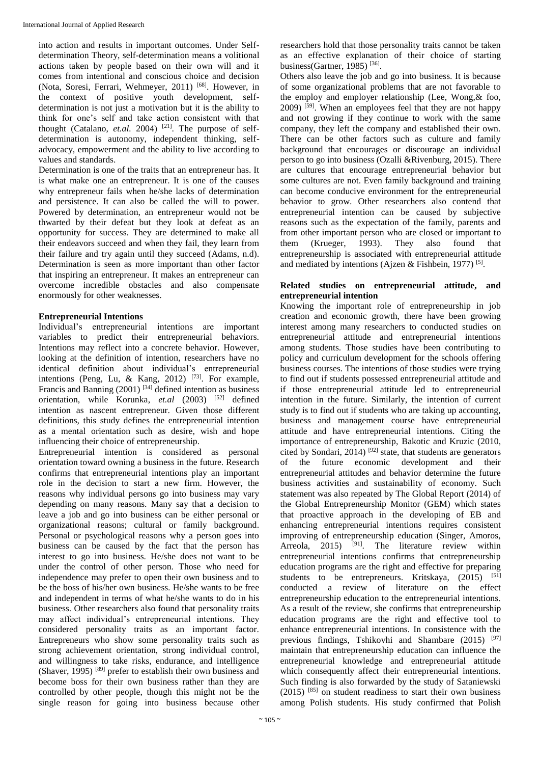into action and results in important outcomes. Under Selfdetermination Theory, self-determination means a volitional actions taken by people based on their own will and it comes from intentional and conscious choice and decision (Nota, Soresi, Ferrari, Wehmeyer, 2011)<sup>[68]</sup>. However, in the context of positive youth development, selfdetermination is not just a motivation but it is the ability to think for one's self and take action consistent with that thought (Catalano, *et.al.* 2004)<sup>[21]</sup>. The purpose of selfdetermination is autonomy, independent thinking, selfadvocacy, empowerment and the ability to live according to values and standards.

Determination is one of the traits that an entrepreneur has. It is what make one an entrepreneur. It is one of the causes why entrepreneur fails when he/she lacks of determination and persistence. It can also be called the will to power. Powered by determination, an entrepreneur would not be thwarted by their defeat but they look at defeat as an opportunity for success. They are determined to make all their endeavors succeed and when they fail, they learn from their failure and try again until they succeed (Adams, n.d). Determination is seen as more important than other factor that inspiring an entrepreneur. It makes an entrepreneur can overcome incredible obstacles and also compensate enormously for other weaknesses.

# **Entrepreneurial Intentions**

Individual's entrepreneurial intentions are important variables to predict their entrepreneurial behaviors. Intentions may reflect into a concrete behavior. However, looking at the definition of intention, researchers have no identical definition about individual's entrepreneurial intentions (Peng, Lu, & Kang, 2012)  $[73]$ . For example, Francis and Banning  $(2001)$  <sup>[34]</sup> defined intention as business orientation, while Korunka, *et.al* (2003) <sup>[52]</sup> defined intention as nascent entrepreneur. Given those different definitions, this study defines the entrepreneurial intention as a mental orientation such as desire, wish and hope influencing their choice of entrepreneurship.

Entrepreneurial intention is considered as personal orientation toward owning a business in the future. Research confirms that entrepreneurial intentions play an important role in the decision to start a new firm. However, the reasons why individual persons go into business may vary depending on many reasons. Many say that a decision to leave a job and go into business can be either personal or organizational reasons; cultural or family background. Personal or psychological reasons why a person goes into business can be caused by the fact that the person has interest to go into business. He/she does not want to be under the control of other person. Those who need for independence may prefer to open their own business and to be the boss of his/her own business. He/she wants to be free and independent in terms of what he/she wants to do in his business. Other researchers also found that personality traits may affect individual's entrepreneurial intentions. They considered personality traits as an important factor. Entrepreneurs who show some personality traits such as strong achievement orientation, strong individual control, and willingness to take risks, endurance, and intelligence (Shaver, 1995)  $^{[89]}$  prefer to establish their own business and become boss for their own business rather than they are controlled by other people, though this might not be the single reason for going into business because other

researchers hold that those personality traits cannot be taken as an effective explanation of their choice of starting business(Gartner, 1985)<sup>[36]</sup>.

Others also leave the job and go into business. It is because of some organizational problems that are not favorable to the employ and employer relationship (Lee, Wong,& foo,  $2009$ )  $^{[59]}$ . When an employees feel that they are not happy and not growing if they continue to work with the same company, they left the company and established their own. There can be other factors such as culture and family background that encourages or discourage an individual person to go into business (Ozalli &Rivenburg, 2015). There are cultures that encourage entrepreneurial behavior but some cultures are not. Even family background and training can become conducive environment for the entrepreneurial behavior to grow. Other researchers also contend that entrepreneurial intention can be caused by subjective reasons such as the expectation of the family, parents and from other important person who are closed or important to them (Krueger, 1993). They also found that entrepreneurship is associated with entrepreneurial attitude and mediated by intentions (Ajzen & Fishbein, 1977)<sup>[5]</sup>.

# **Related studies on entrepreneurial attitude, and entrepreneurial intention**

Knowing the important role of entrepreneurship in job creation and economic growth, there have been growing interest among many researchers to conducted studies on entrepreneurial attitude and entrepreneurial intentions among students. Those studies have been contributing to policy and curriculum development for the schools offering business courses. The intentions of those studies were trying to find out if students possessed entrepreneurial attitude and if those entrepreneurial attitude led to entrepreneurial intention in the future. Similarly, the intention of current study is to find out if students who are taking up accounting, business and management course have entrepreneurial attitude and have entrepreneurial intentions. Citing the importance of entrepreneurship, Bakotic and Kruzic (2010, cited by Sondari, 2014) <sup>[92]</sup> state, that students are generators of the future economic development and their entrepreneurial attitudes and behavior determine the future business activities and sustainability of economy. Such statement was also repeated by The Global Report (2014) of the Global Entrepreneurship Monitor (GEM) which states that proactive approach in the developing of EB and enhancing entrepreneurial intentions requires consistent improving of entrepreneurship education (Singer, Amoros, Arreola,  $2015$  <sup>[91]</sup>. The literature review within entrepreneurial intentions confirms that entrepreneurship education programs are the right and effective for preparing students to be entrepreneurs. Kritskaya,  $(2015)$ <sup>[51]</sup> conducted a review of literature on the effect entrepreneurship education to the entrepreneurial intentions. As a result of the review, she confirms that entrepreneurship education programs are the right and effective tool to enhance entrepreneurial intentions. In consistence with the previous findings, Tshikovhi and Shambare (2015) [97] maintain that entrepreneurship education can influence the entrepreneurial knowledge and entrepreneurial attitude which consequently affect their entrepreneurial intentions. Such finding is also forwarded by the study of Sataniewski  $(2015)$  [85] on student readiness to start their own business among Polish students. His study confirmed that Polish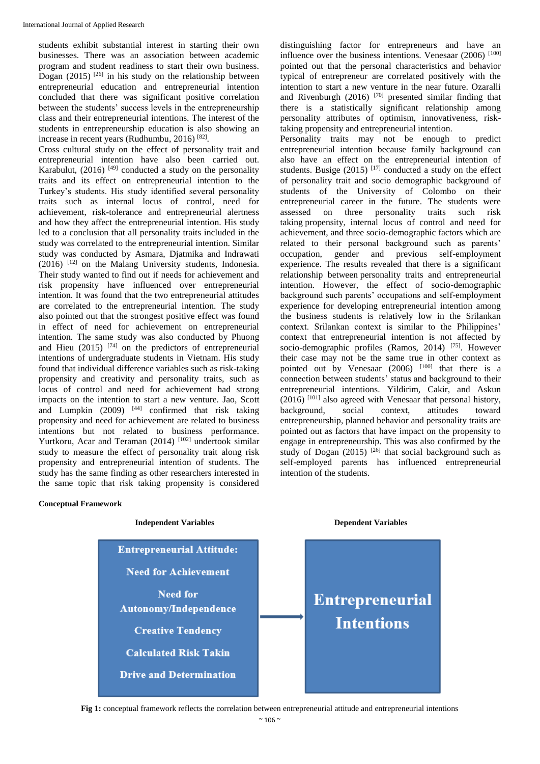students exhibit substantial interest in starting their own businesses. There was an association between academic program and student readiness to start their own business. Dogan  $(2015)$  <sup>[26]</sup> in his study on the relationship between entrepreneurial education and entrepreneurial intention concluded that there was significant positive correlation between the students' success levels in the entrepreneurship class and their entrepreneurial intentions. The interest of the students in entrepreneurship education is also showing an increase in recent years (Rudhumbu, 2016)<sup>[82]</sup>.

Cross cultural study on the effect of personality trait and entrepreneurial intention have also been carried out. Karabulut,  $(2016)$ <sup>[49]</sup> conducted a study on the personality traits and its effect on entrepreneurial intention to the Turkey's students. His study identified several personality traits such as internal locus of control, need for achievement, risk-tolerance and entrepreneurial alertness and how they affect the entrepreneurial intention. His study led to a conclusion that all personality traits included in the study was correlated to the entrepreneurial intention. Similar study was conducted by Asmara, Djatmika and Indrawati (2016) [12] on the Malang University students, Indonesia. Their study wanted to find out if needs for achievement and risk propensity have influenced over entrepreneurial intention. It was found that the two entrepreneurial attitudes are correlated to the entrepreneurial intention. The study also pointed out that the strongest positive effect was found in effect of need for achievement on entrepreneurial intention. The same study was also conducted by Phuong and Hieu  $(2015)$  <sup>[74]</sup> on the predictors of entrepreneurial intentions of undergraduate students in Vietnam. His study found that individual difference variables such as risk-taking propensity and creativity and personality traits, such as locus of control and need for achievement had strong impacts on the intention to start a new venture. Jao, Scott and Lumpkin  $(2009)$  <sup>[44]</sup> confirmed that risk taking propensity and need for achievement are related to business intentions but not related to business performance. Yurtkoru, Acar and Teraman (2014) [102] undertook similar study to measure the effect of personality trait along risk propensity and entrepreneurial intention of students. The study has the same finding as other researchers interested in the same topic that risk taking propensity is considered

#### **Conceptual Framework**



distinguishing factor for entrepreneurs and have an influence over the business intentions. Venesaar (2006) [100] pointed out that the personal characteristics and behavior typical of entrepreneur are correlated positively with the intention to start a new venture in the near future. Ozaralli and Rivenburgh (2016)  $^{[70]}$  presented similar finding that there is a statistically significant relationship among personality attributes of optimism, innovativeness, risktaking propensity and entrepreneurial intention.

Personality traits may not be enough to predict entrepreneurial intention because family background can also have an effect on the entrepreneurial intention of students. Busige  $(2015)$ <sup>[17]</sup> conducted a study on the effect of personality trait and socio demographic background of students of the University of Colombo on their entrepreneurial career in the future. The students were assessed on three personality traits such risk taking propensity, internal locus of control and need for achievement, and three socio-demographic factors which are related to their personal background such as parents' occupation, gender and previous self-employment experience. The results revealed that there is a significant relationship between personality traits and entrepreneurial intention. However, the effect of socio-demographic background such parents' occupations and self-employment experience for developing entrepreneurial intention among the business students is relatively low in the Srilankan context. Srilankan context is similar to the Philippines' context that entrepreneurial intention is not affected by socio-demographic profiles (Ramos, 2014) [75]. However their case may not be the same true in other context as pointed out by Venesaar  $(2006)$   $[100]$  that there is a connection between students' status and background to their entrepreneurial intentions. Yildirim, Cakir, and Askun  $(2016)$  [101] also agreed with Venesaar that personal history, background, social context, attitudes toward entrepreneurship, planned behavior and personality traits are pointed out as factors that have impact on the propensity to engage in entrepreneurship. This was also confirmed by the study of Dogan (2015) <sup>[26]</sup> that social background such as self-employed parents has influenced entrepreneurial intention of the students.

**Fig 1:** conceptual framework reflects the correlation between entrepreneurial attitude and entrepreneurial intentions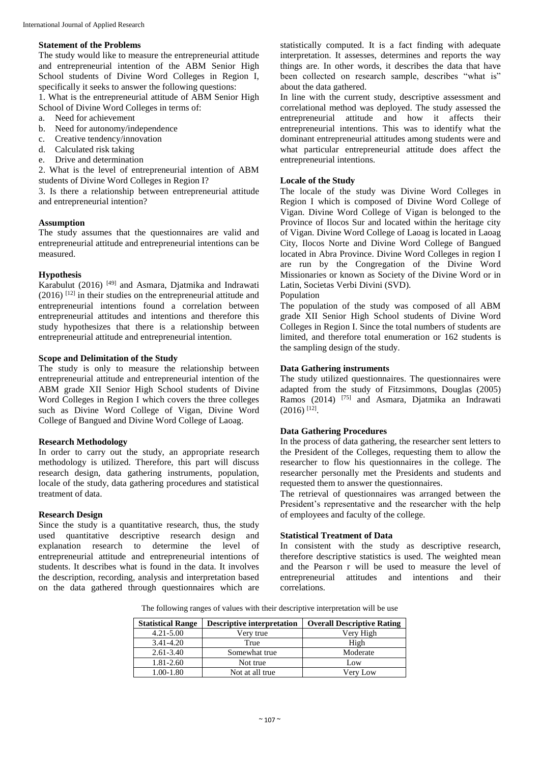### **Statement of the Problems**

The study would like to measure the entrepreneurial attitude and entrepreneurial intention of the ABM Senior High School students of Divine Word Colleges in Region I, specifically it seeks to answer the following questions:

1. What is the entrepreneurial attitude of ABM Senior High School of Divine Word Colleges in terms of:

- a. Need for achievement
- b. Need for autonomy/independence
- c. Creative tendency/innovation
- d. Calculated risk taking
- e. Drive and determination

2. What is the level of entrepreneurial intention of ABM students of Divine Word Colleges in Region I?

3. Is there a relationship between entrepreneurial attitude and entrepreneurial intention?

# **Assumption**

The study assumes that the questionnaires are valid and entrepreneurial attitude and entrepreneurial intentions can be measured.

# **Hypothesis**

Karabulut (2016)  $[49]$  and Asmara, Diatmika and Indrawati  $(2016)$ <sup>[12]</sup> in their studies on the entrepreneurial attitude and entrepreneurial intentions found a correlation between entrepreneurial attitudes and intentions and therefore this study hypothesizes that there is a relationship between entrepreneurial attitude and entrepreneurial intention.

# **Scope and Delimitation of the Study**

The study is only to measure the relationship between entrepreneurial attitude and entrepreneurial intention of the ABM grade XII Senior High School students of Divine Word Colleges in Region I which covers the three colleges such as Divine Word College of Vigan, Divine Word College of Bangued and Divine Word College of Laoag.

### **Research Methodology**

In order to carry out the study, an appropriate research methodology is utilized. Therefore, this part will discuss research design, data gathering instruments, population, locale of the study, data gathering procedures and statistical treatment of data.

# **Research Design**

Since the study is a quantitative research, thus, the study used quantitative descriptive research design and explanation research to determine the level of entrepreneurial attitude and entrepreneurial intentions of students. It describes what is found in the data. It involves the description, recording, analysis and interpretation based on the data gathered through questionnaires which are statistically computed. It is a fact finding with adequate interpretation. It assesses, determines and reports the way things are. In other words, it describes the data that have been collected on research sample, describes "what is" about the data gathered.

In line with the current study, descriptive assessment and correlational method was deployed. The study assessed the entrepreneurial attitude and how it affects their entrepreneurial intentions. This was to identify what the dominant entrepreneurial attitudes among students were and what particular entrepreneurial attitude does affect the entrepreneurial intentions.

# **Locale of the Study**

The locale of the study was Divine Word Colleges in Region I which is composed of Divine Word College of Vigan. Divine Word College of Vigan is belonged to the Province of Ilocos Sur and located within the heritage city of Vigan. Divine Word College of Laoag is located in Laoag City, Ilocos Norte and Divine Word College of Bangued located in Abra Province. Divine Word Colleges in region I are run by the Congregation of the Divine Word Missionaries or known as Society of the Divine Word or in Latin, Societas Verbi Divini (SVD).

# Population

The population of the study was composed of all ABM grade XII Senior High School students of Divine Word Colleges in Region I. Since the total numbers of students are limited, and therefore total enumeration or 162 students is the sampling design of the study.

# **Data Gathering instruments**

The study utilized questionnaires. The questionnaires were adapted from the study of Fitzsimmons, Douglas (2005) Ramos (2014) <sup>[75]</sup> and Asmara, Djatmika an Indrawati  $(2016)$ <sup>[12]</sup>.

# **Data Gathering Procedures**

In the process of data gathering, the researcher sent letters to the President of the Colleges, requesting them to allow the researcher to flow his questionnaires in the college. The researcher personally met the Presidents and students and requested them to answer the questionnaires.

The retrieval of questionnaires was arranged between the President's representative and the researcher with the help of employees and faculty of the college.

# **Statistical Treatment of Data**

In consistent with the study as descriptive research, therefore descriptive statistics is used. The weighted mean and the Pearson r will be used to measure the level of entrepreneurial attitudes and intentions and their correlations.

The following ranges of values with their descriptive interpretation will be use

| <b>Statistical Range</b> | <b>Descriptive interpretation</b> | <b>Overall Descriptive Rating</b> |
|--------------------------|-----------------------------------|-----------------------------------|
| $4.21 - 5.00$            | Verv true                         | Very High                         |
| 3.41-4.20                | True                              | High                              |
| $2.61 - 3.40$            | Somewhat true                     | Moderate                          |
| 1.81-2.60                | Not true                          | Low                               |
| 1.00-1.80                | Not at all true                   | Verv Low                          |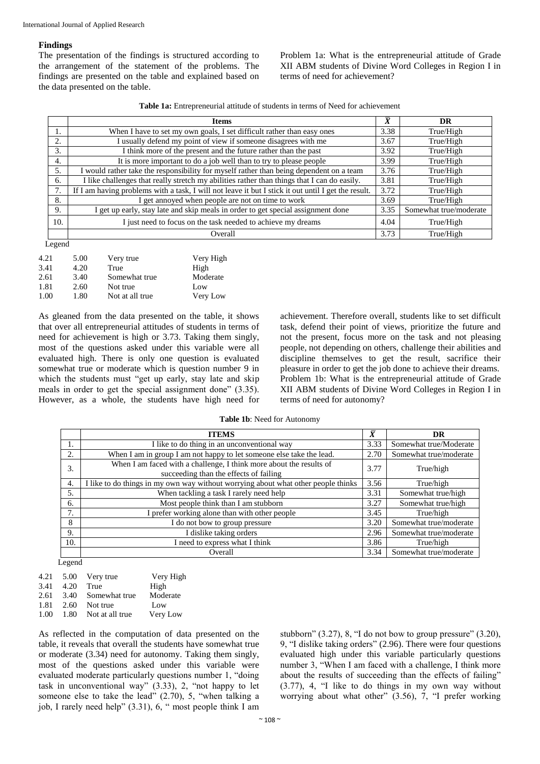### **Findings**

The presentation of the findings is structured according to the arrangement of the statement of the problems. The findings are presented on the table and explained based on the data presented on the table.

Problem 1a: What is the entrepreneurial attitude of Grade XII ABM students of Divine Word Colleges in Region I in terms of need for achievement?

**Table 1a:** Entrepreneurial attitude of students in terms of Need for achievement

|     | <b>Items</b>                                                                                        | $\bar{\bar{X}}$ | DR                     |
|-----|-----------------------------------------------------------------------------------------------------|-----------------|------------------------|
| ı.  | When I have to set my own goals, I set difficult rather than easy ones                              | 3.38            | True/High              |
| 2.  | I usually defend my point of view if someone disagrees with me                                      | 3.67            | True/High              |
| 3.  | I think more of the present and the future rather than the past                                     | 3.92            | True/High              |
| 4.  | It is more important to do a job well than to try to please people                                  | 3.99            | True/High              |
| 5.  | I would rather take the responsibility for myself rather than being dependent on a team             | 3.76            | True/High              |
| 6.  | I like challenges that really stretch my abilities rather than things that I can do easily.         | 3.81            | True/High              |
|     | If I am having problems with a task, I will not leave it but I stick it out until I get the result. | 3.72            | True/High              |
| 8.  | I get annoyed when people are not on time to work                                                   | 3.69            | True/High              |
| 9.  | I get up early, stay late and skip meals in order to get special assignment done                    | 3.35            | Somewhat true/moderate |
| 10. | I just need to focus on the task needed to achieve my dreams                                        | 4.04            | True/High              |
|     | Overall                                                                                             | 3.73            | True/High              |

Legend

| 4.21 | 5.00 | Very true       | Very High |
|------|------|-----------------|-----------|
| 3.41 | 4.20 | True            | High      |
| 2.61 | 3.40 | Somewhat true   | Moderate  |
| 1.81 | 2.60 | Not true        | Low       |
| 1.00 | 1.80 | Not at all true | Very Low  |

As gleaned from the data presented on the table, it shows that over all entrepreneurial attitudes of students in terms of need for achievement is high or 3.73. Taking them singly, most of the questions asked under this variable were all evaluated high. There is only one question is evaluated somewhat true or moderate which is question number 9 in which the students must "get up early, stay late and skip meals in order to get the special assignment done" (3.35). However, as a whole, the students have high need for

achievement. Therefore overall, students like to set difficult task, defend their point of views, prioritize the future and not the present, focus more on the task and not pleasing people, not depending on others, challenge their abilities and discipline themselves to get the result, sacrifice their pleasure in order to get the job done to achieve their dreams. Problem 1b: What is the entrepreneurial attitude of Grade XII ABM students of Divine Word Colleges in Region I in terms of need for autonomy?

**Table 1b**: Need for Autonomy

|     | <b>ITEMS</b>                                                                                                  | $\bar{X}$ | <b>DR</b>              |
|-----|---------------------------------------------------------------------------------------------------------------|-----------|------------------------|
|     | I like to do thing in an unconventional way                                                                   | 3.33      | Somewhat true/Moderate |
| 2.  | When I am in group I am not happy to let someone else take the lead.                                          | 2.70      | Somewhat true/moderate |
| 3.  | When I am faced with a challenge, I think more about the results of<br>succeeding than the effects of failing | 3.77      | True/high              |
| 4.  | I like to do things in my own way without worrying about what other people thinks                             | 3.56      | True/high              |
| 5.  | When tackling a task I rarely need help                                                                       | 3.31      | Somewhat true/high     |
| 6.  | Most people think than I am stubborn                                                                          | 3.27      | Somewhat true/high     |
| 7.  | I prefer working alone than with other people                                                                 | 3.45      | True/high              |
| 8   | I do not bow to group pressure                                                                                | 3.20      | Somewhat true/moderate |
| 9.  | I dislike taking orders                                                                                       | 2.96      | Somewhat true/moderate |
| 10. | I need to express what I think                                                                                | 3.86      | True/high              |
|     | Overall                                                                                                       | 3.34      | Somewhat true/moderate |

Legend

| 4.21 |      | 5.00 Very true       | Very High |
|------|------|----------------------|-----------|
| 3.41 | 4.20 | True                 | High      |
| 2.61 |      | 3.40 Somewhat true   | Moderate  |
| 1.81 | 2.60 | Not true             | Low       |
| 1.00 |      | 1.80 Not at all true | Very Low  |

As reflected in the computation of data presented on the table, it reveals that overall the students have somewhat true or moderate (3.34) need for autonomy. Taking them singly, most of the questions asked under this variable were evaluated moderate particularly questions number 1, "doing task in unconventional way" (3.33), 2, "not happy to let someone else to take the lead" (2.70), 5, "when talking a job, I rarely need help" (3.31), 6, " most people think I am

stubborn"  $(3.27)$ , 8, "I do not bow to group pressure"  $(3.20)$ , 9, "I dislike taking orders" (2.96). There were four questions evaluated high under this variable particularly questions number 3, "When I am faced with a challenge, I think more about the results of succeeding than the effects of failing" (3.77), 4, "I like to do things in my own way without worrying about what other" (3.56), 7, "I prefer working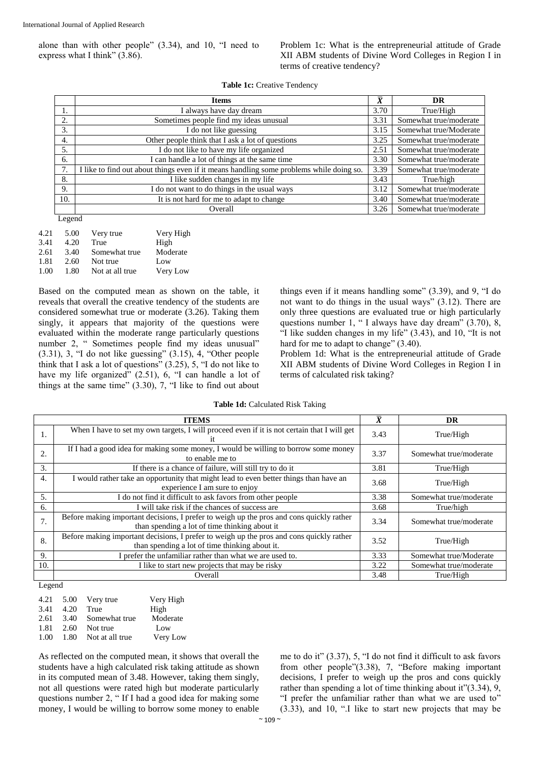alone than with other people" (3.34), and 10, "I need to express what I think" (3.86).

Problem 1c: What is the entrepreneurial attitude of Grade XII ABM students of Divine Word Colleges in Region I in terms of creative tendency?

|     | <b>Items</b>                                                                            | $\bar{x}$ | DR                     |
|-----|-----------------------------------------------------------------------------------------|-----------|------------------------|
|     | I always have day dream                                                                 | 3.70      | True/High              |
| 2.  | Sometimes people find my ideas unusual                                                  | 3.31      | Somewhat true/moderate |
| 3.  | I do not like guessing                                                                  | 3.15      | Somewhat true/Moderate |
| 4.  | Other people think that I ask a lot of questions                                        | 3.25      | Somewhat true/moderate |
| 5.  | I do not like to have my life organized                                                 | 2.51      | Somewhat true/moderate |
| 6.  | I can handle a lot of things at the same time                                           | 3.30      | Somewhat true/moderate |
| 7.  | I like to find out about things even if it means handling some problems while doing so. | 3.39      | Somewhat true/moderate |
| 8.  | I like sudden changes in my life                                                        | 3.43      | True/high              |
| 9.  | I do not want to do things in the usual ways                                            | 3.12      | Somewhat true/moderate |
| 10. | It is not hard for me to adapt to change                                                | 3.40      | Somewhat true/moderate |
|     | Overall                                                                                 | 3.26      | Somewhat true/moderate |
|     |                                                                                         |           |                        |

Legend

| 4.21 | 5.00 | Very true       | Very High |
|------|------|-----------------|-----------|
| 3.41 | 4.20 | True            | High      |
| 2.61 | 3.40 | Somewhat true   | Moderate  |
| 1.81 | 2.60 | Not true        | Low       |
| 1.00 | 1.80 | Not at all true | Very Low  |

Based on the computed mean as shown on the table, it reveals that overall the creative tendency of the students are considered somewhat true or moderate (3.26). Taking them singly, it appears that majority of the questions were evaluated within the moderate range particularly questions number 2, " Sometimes people find my ideas unusual"  $(3.31)$ , 3, "I do not like guessing"  $(3.15)$ , 4, "Other people think that I ask a lot of questions" (3.25), 5, "I do not like to have my life organized" (2.51), 6, "I can handle a lot of things at the same time"  $(3.30)$ ,  $7$ , "I like to find out about things even if it means handling some" (3.39), and 9, "I do not want to do things in the usual ways" (3.12). There are only three questions are evaluated true or high particularly questions number 1, " I always have day dream" (3.70), 8, "I like sudden changes in my life" (3.43), and 10, "It is not hard for me to adapt to change" (3.40).

Problem 1d: What is the entrepreneurial attitude of Grade XII ABM students of Divine Word Colleges in Region I in terms of calculated risk taking?

|     | <b>ITEMS</b>                                                                                                                               | $\overline{\textbf{x}}$ | DR                     |
|-----|--------------------------------------------------------------------------------------------------------------------------------------------|-------------------------|------------------------|
| 1.  | When I have to set my own targets, I will proceed even if it is not certain that I will get<br>1t.                                         | 3.43                    | True/High              |
| 2.  | If I had a good idea for making some money, I would be willing to borrow some money<br>to enable me to                                     | 3.37                    | Somewhat true/moderate |
| 3.  | If there is a chance of failure, will still try to do it                                                                                   | 3.81                    | True/High              |
| 4.  | I would rather take an opportunity that might lead to even better things than have an<br>experience I am sure to enjoy                     | 3.68                    | True/High              |
| 5.  | I do not find it difficult to ask favors from other people                                                                                 | 3.38                    | Somewhat true/moderate |
| 6.  | I will take risk if the chances of success are                                                                                             | 3.68                    | True/high              |
| 7.  | Before making important decisions, I prefer to weigh up the pros and cons quickly rather<br>than spending a lot of time thinking about it  | 3.34                    | Somewhat true/moderate |
| 8.  | Before making important decisions, I prefer to weigh up the pros and cons quickly rather<br>than spending a lot of time thinking about it. | 3.52                    | True/High              |
| 9.  | I prefer the unfamiliar rather than what we are used to.                                                                                   | 3.33                    | Somewhat true/Moderate |
| 10. | I like to start new projects that may be risky                                                                                             | 3.22                    | Somewhat true/moderate |
|     | Overall                                                                                                                                    | 3.48                    | True/High              |

Legend

|      |      | 4.21 5.00 Very true  | Very High |
|------|------|----------------------|-----------|
| 3.41 | 4.20 | True                 | High      |
| 2.61 |      | 3.40 Somewhat true   | Moderate  |
| 1.81 | 2.60 | Not true             | Low       |
| 1.00 |      | 1.80 Not at all true | Very Low  |
|      |      |                      |           |

As reflected on the computed mean, it shows that overall the students have a high calculated risk taking attitude as shown in its computed mean of 3.48. However, taking them singly, not all questions were rated high but moderate particularly questions number 2, " If I had a good idea for making some money, I would be willing to borrow some money to enable

me to do it" (3.37), 5, "I do not find it difficult to ask favors from other people"(3.38), 7, "Before making important decisions, I prefer to weigh up the pros and cons quickly rather than spending a lot of time thinking about it"(3.34), 9, "I prefer the unfamiliar rather than what we are used to" (3.33), and 10, ".I like to start new projects that may be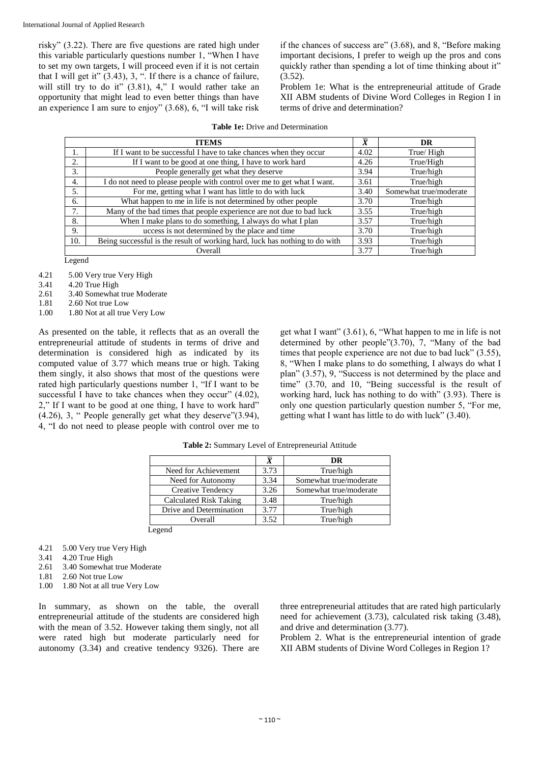risky" (3.22). There are five questions are rated high under this variable particularly questions number 1, "When I have to set my own targets, I will proceed even if it is not certain that I will get it"  $(3.43)$ , 3, ". If there is a chance of failure, will still try to do it" (3.81), 4," I would rather take an opportunity that might lead to even better things than have an experience I am sure to enjoy" (3.68), 6, "I will take risk

if the chances of success are" (3.68), and 8, "Before making important decisions, I prefer to weigh up the pros and cons quickly rather than spending a lot of time thinking about it"  $(3.52)$ .

Problem 1e: What is the entrepreneurial attitude of Grade XII ABM students of Divine Word Colleges in Region I in terms of drive and determination?

| <b>ITEMS</b> |                                                                             |      | <b>DR</b>              |
|--------------|-----------------------------------------------------------------------------|------|------------------------|
|              | If I want to be successful I have to take chances when they occur           | 4.02 | True/High              |
| 2.           | If I want to be good at one thing, I have to work hard                      | 4.26 | True/High              |
| 3.           | People generally get what they deserve                                      | 3.94 | True/high              |
| 4.           | I do not need to please people with control over me to get what I want.     | 3.61 | True/high              |
| .5.          | For me, getting what I want has little to do with luck                      | 3.40 | Somewhat true/moderate |
| 6.           | What happen to me in life is not determined by other people                 | 3.70 | True/high              |
| 7.           | Many of the bad times that people experience are not due to bad luck        | 3.55 | True/high              |
| 8.           | When I make plans to do something, I always do what I plan                  | 3.57 | True/high              |
| 9.           | uccess is not determined by the place and time                              | 3.70 | True/high              |
| 10.          | Being successful is the result of working hard, luck has nothing to do with | 3.93 | True/high              |
|              | Overall                                                                     | 3.77 | True/high              |

|  |  |  |  | <b>Table 1e:</b> Drive and Determination |  |
|--|--|--|--|------------------------------------------|--|
|--|--|--|--|------------------------------------------|--|

Legend

- 4.21 5.00 Very true Very High
- 3.41 4.20 True High
- 2.61 3.40 Somewhat true Moderate
- 1.81 2.60 Not true Low
- 1.00 1.80 Not at all true Very Low

As presented on the table, it reflects that as an overall the entrepreneurial attitude of students in terms of drive and determination is considered high as indicated by its computed value of 3.77 which means true or high. Taking them singly, it also shows that most of the questions were rated high particularly questions number 1, "If I want to be successful I have to take chances when they occur" (4.02). 2," If I want to be good at one thing, I have to work hard" (4.26), 3, " People generally get what they deserve"(3.94), 4, "I do not need to please people with control over me to get what I want" (3.61), 6, "What happen to me in life is not determined by other people"(3.70), 7, "Many of the bad times that people experience are not due to bad luck" (3.55), 8, "When I make plans to do something, I always do what I plan" (3.57), 9, "Success is not determined by the place and time" (3.70, and 10, "Being successful is the result of working hard, luck has nothing to do with" (3.93). There is only one question particularly question number 5, "For me, getting what I want has little to do with luck" (3.40).

|                         |      | DR                     |
|-------------------------|------|------------------------|
| Need for Achievement    | 3.73 | True/high              |
| Need for Autonomy       | 3.34 | Somewhat true/moderate |
| Creative Tendency       | 3.26 | Somewhat true/moderate |
| Calculated Risk Taking  | 3.48 | True/high              |
| Drive and Determination | 3.77 | True/high              |
| Overall                 | 3.52 | True/high              |

**Table 2:** Summary Level of Entrepreneurial Attitude

Legend

- 4.21 5.00 Very true Very High
- 3.41 4.20 True High
- 2.61 3.40 Somewhat true Moderate
- 1.81 2.60 Not true Low
- 1.00 1.80 Not at all true Very Low

In summary, as shown on the table, the overall entrepreneurial attitude of the students are considered high with the mean of 3.52. However taking them singly, not all were rated high but moderate particularly need for autonomy (3.34) and creative tendency 9326). There are three entrepreneurial attitudes that are rated high particularly need for achievement (3.73), calculated risk taking (3.48), and drive and determination (3.77).

Problem 2. What is the entrepreneurial intention of grade XII ABM students of Divine Word Colleges in Region 1?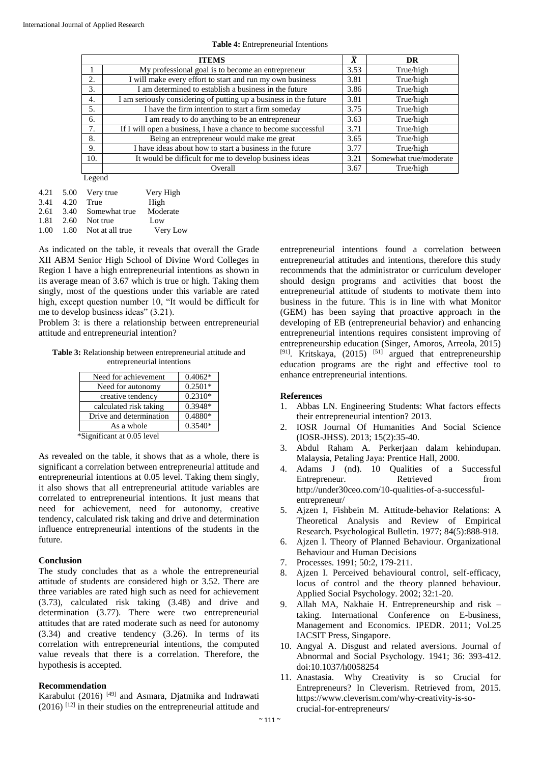|  |  |  | <b>Table 4:</b> Entrepreneurial Intentions |
|--|--|--|--------------------------------------------|
|--|--|--|--------------------------------------------|

|              | <b>ITEMS</b>                                                      | $\bar{x}$ | <b>DR</b>              |
|--------------|-------------------------------------------------------------------|-----------|------------------------|
|              | My professional goal is to become an entrepreneur                 | 3.53      | True/high              |
| 2.           | I will make every effort to start and run my own business         | 3.81      | True/high              |
| 3.           | I am determined to establish a business in the future             | 3.86      | True/high              |
| 4.           | I am seriously considering of putting up a business in the future | 3.81      | True/high              |
| 5.           | I have the firm intention to start a firm someday                 | 3.75      | True/high              |
| 6.           | I am ready to do anything to be an entrepreneur                   | 3.63      | True/high              |
| 7.           | If I will open a business, I have a chance to become successful   | 3.71      | True/high              |
| 8.           | Being an entrepreneur would make me great                         | 3.65      | True/high              |
| 9.           | I have ideas about how to start a business in the future          | 3.77      | True/high              |
| 10.          | It would be difficult for me to develop business ideas            | 3.21      | Somewhat true/moderate |
|              | Overall                                                           | 3.67      | True/high              |
| $\mathbf{r}$ |                                                                   |           |                        |

Legend

|      |      | 4.21 5.00 Very true  | Very High |
|------|------|----------------------|-----------|
| 3.41 | 4.20 | True                 | High      |
| 2.61 |      | 3.40 Somewhat true   | Moderate  |
| 1.81 |      | 2.60 Not true        | Low       |
| 1.00 |      | 1.80 Not at all true | Very Low  |

As indicated on the table, it reveals that overall the Grade XII ABM Senior High School of Divine Word Colleges in Region 1 have a high entrepreneurial intentions as shown in its average mean of 3.67 which is true or high. Taking them singly, most of the questions under this variable are rated high, except question number 10, "It would be difficult for me to develop business ideas" (3.21).

Problem 3: is there a relationship between entrepreneurial attitude and entrepreneurial intention?

**Table 3:** Relationship between entrepreneurial attitude and entrepreneurial intentions

| Need for achievement                              | $0.4062*$ |
|---------------------------------------------------|-----------|
| Need for autonomy                                 | $0.2501*$ |
| creative tendency                                 | $0.2310*$ |
| calculated risk taking                            | $0.3948*$ |
| Drive and determination                           | $0.4880*$ |
| As a whole                                        | $0.3540*$ |
| wa.<br>$\cdot$ $\cdot$ $\wedge$ $\wedge$ $\sim$ 1 |           |

\*Significant at 0.05 level

As revealed on the table, it shows that as a whole, there is significant a correlation between entrepreneurial attitude and entrepreneurial intentions at 0.05 level. Taking them singly, it also shows that all entrepreneurial attitude variables are correlated to entrepreneurial intentions. It just means that need for achievement, need for autonomy, creative tendency, calculated risk taking and drive and determination influence entrepreneurial intentions of the students in the future.

### **Conclusion**

The study concludes that as a whole the entrepreneurial attitude of students are considered high or 3.52. There are three variables are rated high such as need for achievement (3.73), calculated risk taking (3.48) and drive and determination (3.77). There were two entrepreneurial attitudes that are rated moderate such as need for autonomy (3.34) and creative tendency (3.26). In terms of its correlation with entrepreneurial intentions, the computed value reveals that there is a correlation. Therefore, the hypothesis is accepted.

### **Recommendation**

Karabulut (2016) [49] and Asmara, Djatmika and Indrawati (2016) [12] in their studies on the entrepreneurial attitude and entrepreneurial intentions found a correlation between entrepreneurial attitudes and intentions, therefore this study recommends that the administrator or curriculum developer should design programs and activities that boost the entrepreneurial attitude of students to motivate them into business in the future. This is in line with what Monitor (GEM) has been saying that proactive approach in the developing of EB (entrepreneurial behavior) and enhancing entrepreneurial intentions requires consistent improving of entrepreneurship education (Singer, Amoros, Arreola, 2015) <sup>[91]</sup>. Kritskaya, (2015) <sup>[51]</sup> argued that entrepreneurship education programs are the right and effective tool to enhance entrepreneurial intentions.

### **References**

- 1. Abbas LN. Engineering Students: What factors effects their entrepreneurial intention? 2013.
- 2. IOSR Journal Of Humanities And Social Science (IOSR-JHSS). 2013; 15(2):35-40.
- 3. Abdul Raham A. Perkerjaan dalam kehindupan. Malaysia, Petaling Jaya: Prentice Hall, 2000.
- 4. Adams J (nd). 10 Qualities of a Successful Entrepreneur. Retrieved from http://under30ceo.com/10-qualities-of-a-successfulentrepreneur/
- 5. Ajzen I, Fishbein M. Attitude-behavior Relations: A Theoretical Analysis and Review of Empirical Research. Psychological Bulletin. 1977; 84(5):888-918.
- 6. Ajzen I. Theory of Planned Behaviour. Organizational Behaviour and Human Decisions
- 7. Processes. 1991; 50:2, 179-211.
- 8. Ajzen I. Perceived behavioural control, self-efficacy, locus of control and the theory planned behaviour. Applied Social Psychology. 2002; 32:1-20.
- 9. Allah MA, Nakhaie H. Entrepreneurship and risk taking. International Conference on E-business, Management and Economics. IPEDR. 2011; Vol.25 IACSIT Press, Singapore.
- 10. Angyal A. Disgust and related aversions. Journal of Abnormal and Social Psychology. 1941; 36: 393-412. doi:10.1037/h0058254
- 11. Anastasia. Why Creativity is so Crucial for Entrepreneurs? In Cleverism. Retrieved from, 2015. https://www.cleverism.com/why-creativity-is-socrucial-for-entrepreneurs/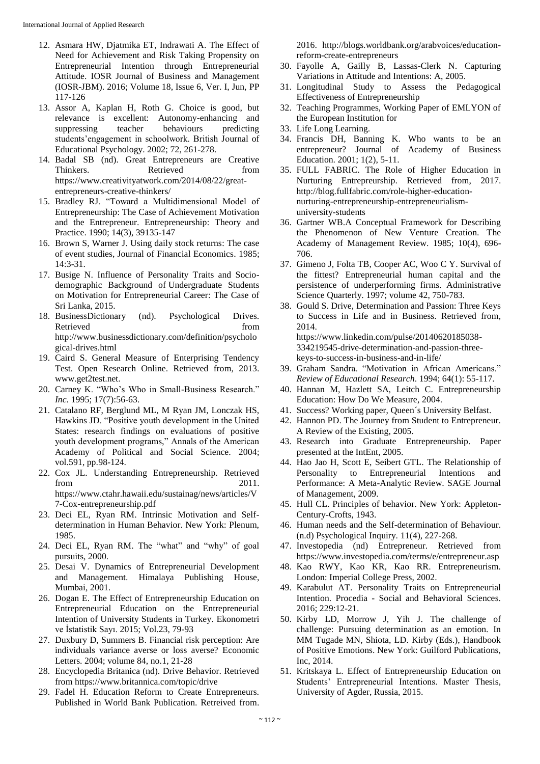- 12. Asmara HW, Djatmika ET, Indrawati A. The Effect of Need for Achievement and Risk Taking Propensity on Entrepreneurial Intention through Entrepreneurial Attitude. IOSR Journal of Business and Management (IOSR-JBM). 2016; Volume 18, Issue 6, Ver. I, Jun, PP 117-126
- 13. Assor A, Kaplan H, Roth G. Choice is good, but relevance is excellent: Autonomy-enhancing and suppressing teacher behaviours predicting students'engagement in schoolwork. British Journal of Educational Psychology. 2002; 72, 261-278.
- 14. Badal SB (nd). Great Entrepreneurs are Creative Thinkers. Retrieved from https://www.creativityatwork.com/2014/08/22/greatentrepreneurs-creative-thinkers/
- 15. Bradley RJ. "Toward a Multidimensional Model of Entrepreneurship: The Case of Achievement Motivation and the Entrepreneur. Entrepreneurship: Theory and Practice. 1990; 14(3), 39135-147
- 16. Brown S, Warner J. Using daily stock returns: The case of event studies, Journal of Financial Economics. 1985; 14:3-31.
- 17. Busige N. Influence of Personality Traits and Sociodemographic Background of Undergraduate Students on Motivation for Entrepreneurial Career: The Case of Sri Lanka, 2015.
- 18. BusinessDictionary (nd). Psychological Drives. Retrieved from the set of the set of the set of the set of the set of the set of the set of the set of the set of the set of the set of the set of the set of the set of the set of the set of the set of the set of the set o http://www.businessdictionary.com/definition/psycholo gical-drives.html
- 19. Caird S. General Measure of Enterprising Tendency Test. Open Research Online. Retrieved from, 2013. www.get2test.net.
- 20. Carney K. "Who's Who in Small-Business Research." *Inc.* 1995; 17(7):56-63.
- 21. Catalano RF, Berglund ML, M Ryan JM, Lonczak HS, Hawkins JD. "Positive youth development in the United States: research findings on evaluations of positive youth development programs," Annals of the American Academy of Political and Social Science. 2004; vol.591, pp.98-124.
- 22. Cox JL. Understanding Entrepreneurship. Retrieved from 2011. https://www.ctahr.hawaii.edu/sustainag/news/articles/V 7-Cox-entrepreneurship.pdf
- 23. Deci EL, Ryan RM. Intrinsic Motivation and Selfdetermination in Human Behavior. New York: Plenum, 1985.
- 24. Deci EL, Ryan RM. The "what" and "why" of goal pursuits, 2000.
- 25. Desai V. Dynamics of Entrepreneurial Development and Management. Himalaya Publishing House, Mumbai, 2001.
- 26. Dogan E. The Effect of Entrepreneurship Education on Entrepreneurial Education on the Entrepreneurial Intention of University Students in Turkey. Ekonometri ve İstatistik Sayı. 2015; Vol.23, 79-93
- 27. Duxbury D, Summers B. Financial risk perception: Are individuals variance averse or loss averse? Economic Letters. 2004; volume 84, no.1, 21-28
- 28. Encyclopedia Britanica (nd). Drive Behavior. Retrieved from https://www.britannica.com/topic/drive
- 29. Fadel H. Education Reform to Create Entrepreneurs. Published in World Bank Publication. Retreived from.

2016. http://blogs.worldbank.org/arabvoices/educationreform-create-entrepreneurs

- 30. Fayolle A, Gailly B, Lassas-Clerk N. Capturing Variations in Attitude and Intentions: A, 2005.
- 31. Longitudinal Study to Assess the Pedagogical Effectiveness of Entrepreneurship
- 32. Teaching Programmes, Working Paper of EMLYON of the European Institution for
- 33. Life Long Learning.
- 34. Francis DH, Banning K. Who wants to be an entrepreneur? Journal of Academy of Business Education. 2001; 1(2), 5-11.
- 35. FULL FABRIC. The Role of Higher Education in Nurturing Entrepreurship. Retrieved from, 2017. http://blog.fullfabric.com/role-higher-educationnurturing-entrepreneurship-entrepreneurialismuniversity-students
- 36. Gartner WB.A Conceptual Framework for Describing the Phenomenon of New Venture Creation. The Academy of Management Review. 1985; 10(4), 696- 706.
- 37. Gimeno J, Folta TB, Cooper AC, Woo C Y. Survival of the fittest? Entrepreneurial human capital and the persistence of underperforming firms. Administrative Science Quarterly. 1997; volume 42, 750-783.
- 38. Gould S. Drive, Determination and Passion: Three Keys to Success in Life and in Business. Retrieved from, 2014. https://www.linkedin.com/pulse/20140620185038- 334219545-drive-determination-and-passion-three-

keys-to-success-in-business-and-in-life/

- 39. Graham Sandra. "Motivation in African Americans." *Review of Educational Research*. 1994; 64(1): 55-117.
- 40. Hannan M, Hazlett SA, Leitch C. Entrepreneurship Education: How Do We Measure, 2004.
- 41. Success? Working paper, Queen´s University Belfast.
- 42. Hannon PD. The Journey from Student to Entrepreneur. A Review of the Existing, 2005.
- 43. Research into Graduate Entrepreneurship. Paper presented at the IntEnt, 2005.
- 44. Hao Jao H, Scott E, Seibert GTL. The Relationship of Personality to Entrepreneurial Intentions and Performance: A Meta-Analytic Review. SAGE Journal of Management, 2009.
- 45. Hull CL. Principles of behavior. New York: Appleton-Century-Crofts, 1943.
- 46. Human needs and the Self-determination of Behaviour. (n.d) Psychological Inquiry. 11(4), 227-268.
- 47. Investopedia (nd) Entrepreneur. Retrieved from https://www.investopedia.com/terms/e/entrepreneur.asp
- 48. Kao RWY, Kao KR, Kao RR. Entrepreneurism. London: Imperial College Press, 2002.
- 49. Karabulut AT. Personality Traits on Entrepreneurial Intention. Procedia - Social and Behavioral Sciences. 2016; 229:12-21.
- 50. Kirby LD, Morrow J, Yih J. The challenge of challenge: Pursuing determination as an emotion. In MM Tugade MN, Shiota, LD. Kirby (Eds.), Handbook of Positive Emotions. New York: Guilford Publications, Inc, 2014.
- 51. Kritskaya L. Effect of Entrepreneurship Education on Students' Entrepreneurial Intentions. Master Thesis, University of Agder, Russia, 2015.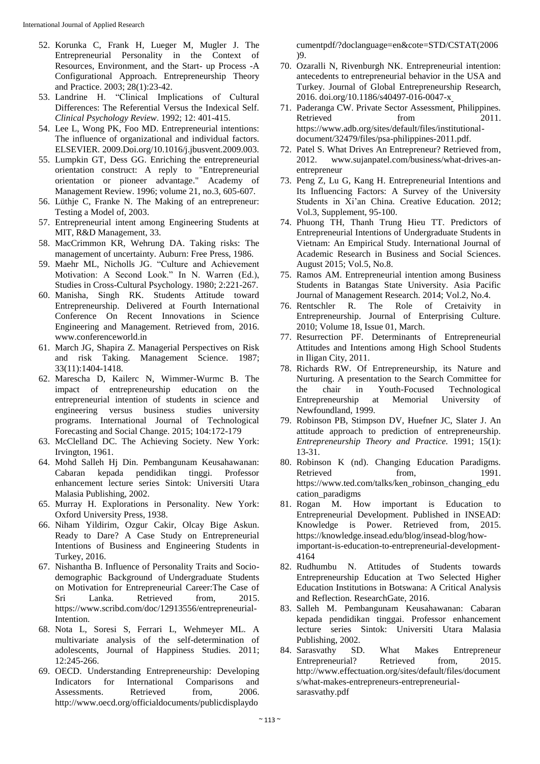- 52. Korunka C, Frank H, Lueger M, Mugler J. The Entrepreneurial Personality in the Context of Resources, Environment, and the Start- up Process -A Configurational Approach. Entrepreneurship Theory and Practice. 2003; 28(1):23-42.
- 53. Landrine H. "Clinical Implications of Cultural Differences: The Referential Versus the Indexical Self. *Clinical Psychology Review*. 1992; 12: 401-415.
- 54. Lee L, Wong PK, Foo MD. Entrepreneurial intentions: The influence of organizational and individual factors. ELSEVIER. 2009.Doi.org/10.1016/j.jbusvent.2009.003.
- 55. Lumpkin GT, Dess GG. Enriching the entrepreneurial orientation construct: A reply to "Entrepreneurial orientation or pioneer advantage." Academy of Management Review. 1996; volume 21, no.3, 605-607.
- 56. Lüthje C, Franke N. The Making of an entrepreneur: Testing a Model of, 2003.
- 57. Entrepreneurial intent among Engineering Students at MIT, R&D Management, 33.
- 58. MacCrimmon KR, Wehrung DA. Taking risks: The management of uncertainty. Auburn: Free Press, 1986.
- 59. Maehr ML, Nicholls JG. "Culture and Achievement Motivation: A Second Look." In N. Warren (Ed.), Studies in Cross-Cultural Psychology. 1980; 2:221-267.
- 60. Manisha, Singh RK. Students Attitude toward Entrepreneurship. Delivered at Fourth International Conference On Recent Innovations in Science Engineering and Management. Retrieved from, 2016. www.conferenceworld.in
- 61. March JG, Shapira Z. Managerial Perspectives on Risk and risk Taking. Management Science. 1987; 33(11):1404-1418.
- 62. Marescha D, Kailerc N, Wimmer-Wurmc B. The impact of entrepreneurship education on the entrepreneurial intention of students in science and engineering versus business studies university programs. International Journal of Technological Forecasting and Social Change. 2015; 104:172-179
- 63. McClelland DC. The Achieving Society. New York: Irvington, 1961.
- 64. Mohd Salleh Hj Din. Pembangunam Keusahawanan: Cabaran kepada pendidikan tinggi. Professor enhancement lecture series Sintok: Universiti Utara Malasia Publishing, 2002.
- 65. Murray H. Explorations in Personality. New York: Oxford University Press, 1938.
- 66. Niham Yildirim, Ozgur Cakir, Olcay Bige Askun. Ready to Dare? A Case Study on Entrepreneurial Intentions of Business and Engineering Students in Turkey, 2016.
- 67. Nishantha B. Influence of Personality Traits and Sociodemographic Background of Undergraduate Students on Motivation for Entrepreneurial Career:The Case of Sri Lanka. Retrieved from, 2015. https://www.scribd.com/doc/12913556/entrepreneurial-Intention.
- 68. Nota L, Soresi S, Ferrari L, Wehmeyer ML. A multivariate analysis of the self-determination of adolescents, Journal of Happiness Studies. 2011; 12:245-266.
- 69. OECD. Understanding Entrepreneurship: Developing Indicators for International Comparisons and Assessments. Retrieved from, 2006. http://www.oecd.org/officialdocuments/publicdisplaydo

cumentpdf/?doclanguage=en&cote=STD/CSTAT(2006 )9.

- 70. Ozaralli N, Rivenburgh NK. Entrepreneurial intention: antecedents to entrepreneurial behavior in the USA and Turkey. Journal of Global Entrepreneurship Research, 2016. doi.org/10.1186/s40497-016-0047-x
- 71. Paderanga CW. Private Sector Assessment, Philippines. Retrieved from 2011. https://www.adb.org/sites/default/files/institutionaldocument/32479/files/psa-philippines-2011.pdf.
- 72. Patel S. What Drives An Entrepreneur? Retrieved from, 2012. www.sujanpatel.com/business/what-drives-anentrepreneur
- 73. Peng Z, Lu G, Kang H. Entrepreneurial Intentions and Its Influencing Factors: A Survey of the University Students in Xi'an China. Creative Education. 2012; Vol.3, Supplement, 95-100.
- 74. Phuong TH, Thanh Trung Hieu TT. Predictors of Entrepreneurial Intentions of Undergraduate Students in Vietnam: An Empirical Study. International Journal of Academic Research in Business and Social Sciences. August 2015; Vol.5, No.8.
- 75. Ramos AM. Entrepreneurial intention among Business Students in Batangas State University. Asia Pacific Journal of Management Research. 2014; Vol.2, No.4.
- 76. Rentschler R. The Role of Cretaivity in Entrepreneurship. Journal of Enterprising Culture. 2010; Volume 18, Issue 01, March.
- 77. Resurrection PF. Determinants of Entrepreneurial Attitudes and Intentions among High School Students in Iligan City, 2011.
- 78. Richards RW. Of Entrepreneurship, its Nature and Nurturing. A presentation to the Search Committee for the chair in Youth-Focused Technological Entrepreneurship at Memorial University of Newfoundland, 1999.
- 79. Robinson PB, Stimpson DV, Huefner JC, Slater J. An attitude approach to prediction of entrepreneurship. *Entrepreneurship Theory and Practice.* 1991; 15(1): 13-31.
- 80. Robinson K (nd). Changing Education Paradigms. Retrieved from, 1991. https://www.ted.com/talks/ken\_robinson\_changing\_edu cation\_paradigms
- 81. Rogan M. How important is Education to Entrepreneurial Development. Published in INSEAD: Knowledge is Power. Retrieved from, 2015. https://knowledge.insead.edu/blog/insead-blog/howimportant-is-education-to-entrepreneurial-development-4164
- 82. Rudhumbu N. Attitudes of Students towards Entrepreneurship Education at Two Selected Higher Education Institutions in Botswana: A Critical Analysis and Reflection. ResearchGate, 2016.
- 83. Salleh M. Pembangunam Keusahawanan: Cabaran kepada pendidikan tinggai. Professor enhancement lecture series Sintok: Universiti Utara Malasia Publishing, 2002.
- 84. Sarasvathy SD. What Makes Entrepreneur Entrepreneurial? Retrieved from, 2015. http://www.effectuation.org/sites/default/files/document s/what-makes-entrepreneurs-entrepreneurialsarasvathy.pdf